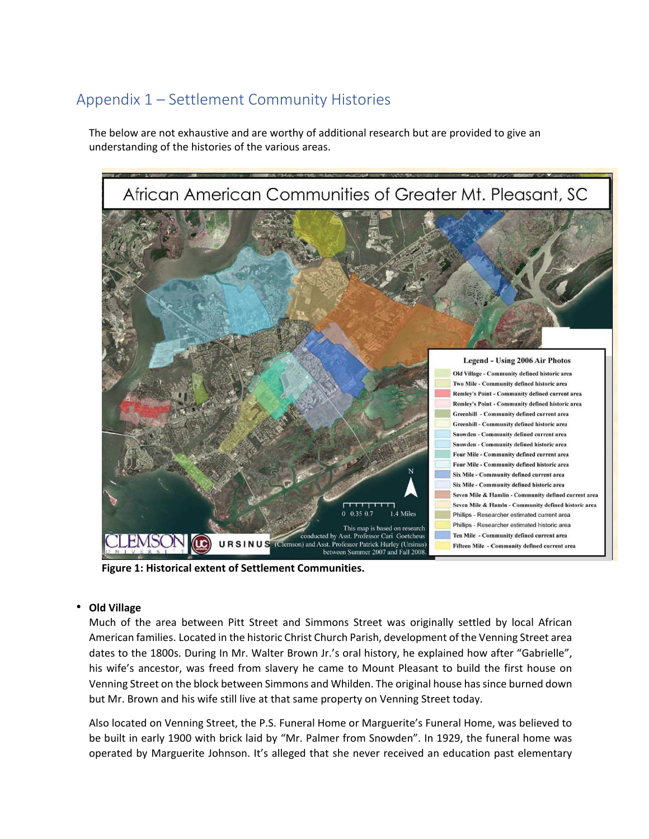# Appendix 1 – Settlement Community Histories

The below are not exhaustive and are worthy of additional research but are provided to give an understanding of the histories of the various areas.



**Figure 1: Historical extent of Settlement Communities.**

## • **Old Village**

Much of the area between Pitt Street and Simmons Street was originally settled by local African American families. Located in the historic Christ Church Parish, development of the Venning Street area dates to the 1800s. During In Mr. Walter Brown Jr.'s oral history, he explained how after "Gabrielle", his wife's ancestor, was freed from slavery he came to Mount Pleasant to build the first house on Venning Street on the block between Simmons and Whilden. The original house has since burned down but Mr. Brown and his wife still live at that same property on Venning Street today.

Also located on Venning Street, the P.S. Funeral Home or Marguerite's Funeral Home, was believed to be built in early 1900 with brick laid by "Mr. Palmer from Snowden". In 1929, the funeral home was operated by Marguerite Johnson. It's alleged that she never received an education past elementary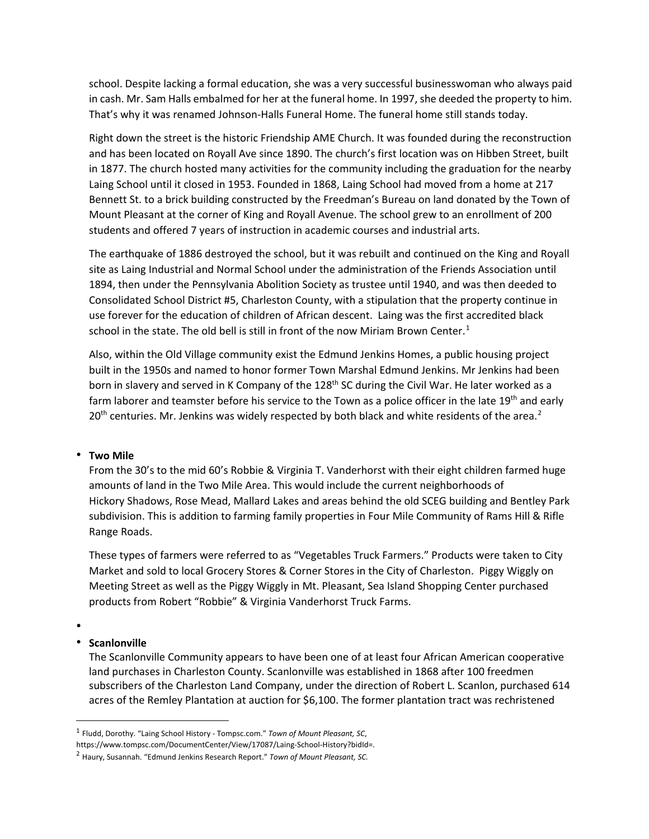school. Despite lacking a formal education, she was a very successful businesswoman who always paid in cash. Mr. Sam Halls embalmed for her at the funeral home. In 1997, she deeded the property to him. That's why it was renamed Johnson-Halls Funeral Home. The funeral home still stands today.

Right down the street is the historic Friendship AME Church. It was founded during the reconstruction and has been located on Royall Ave since 1890. The church's first location was on Hibben Street, built in 1877. The church hosted many activities for the community including the graduation for the nearby Laing School until it closed in 1953. Founded in 1868, Laing School had moved from a home at 217 Bennett St. to a brick building constructed by the Freedman's Bureau on land donated by the Town of Mount Pleasant at the corner of King and Royall Avenue. The school grew to an enrollment of 200 students and offered 7 years of instruction in academic courses and industrial arts.

The earthquake of 1886 destroyed the school, but it was rebuilt and continued on the King and Royall site as Laing Industrial and Normal School under the administration of the Friends Association until 1894, then under the Pennsylvania Abolition Society as trustee until 1940, and was then deeded to Consolidated School District #5, Charleston County, with a stipulation that the property continue in use forever for the education of children of African descent. Laing was the first accredited black school in the state. The old bell is still in front of the now Miriam Brown Center.<sup>[1](#page-1-0)</sup>

Also, within the Old Village community exist the Edmund Jenkins Homes, a public housing project built in the 1950s and named to honor former Town Marshal Edmund Jenkins. Mr Jenkins had been born in slavery and served in K Company of the 128<sup>th</sup> SC during the Civil War. He later worked as a farm laborer and teamster before his service to the Town as a police officer in the late 19<sup>th</sup> and early  $20<sup>th</sup>$  $20<sup>th</sup>$  centuries. Mr. Jenkins was widely respected by both black and white residents of the area.<sup>2</sup>

# • **Two Mile**

From the 30's to the mid 60's Robbie & Virginia T. Vanderhorst with their eight children farmed huge amounts of land in the Two Mile Area. This would include the current neighborhoods of Hickory Shadows, Rose Mead, Mallard Lakes and areas behind the old SCEG building and Bentley Park subdivision. This is addition to farming family properties in Four Mile Community of Rams Hill & Rifle Range Roads.

These types of farmers were referred to as "Vegetables Truck Farmers." Products were taken to City Market and sold to local Grocery Stores & Corner Stores in the City of Charleston. Piggy Wiggly on Meeting Street as well as the Piggy Wiggly in Mt. Pleasant, Sea Island Shopping Center purchased products from Robert "Robbie" & Virginia Vanderhorst Truck Farms.

•

#### • **Scanlonville**

The Scanlonville Community appears to have been one of at least four African American cooperative land purchases in Charleston County. Scanlonville was established in 1868 after 100 freedmen subscribers of the Charleston Land Company, under the direction of Robert L. Scanlon, purchased 614 acres of the Remley Plantation at auction for \$6,100. The former plantation tract was rechristened

<span id="page-1-0"></span><sup>1</sup> Fludd, Dorothy. "Laing School History - Tompsc.com." *Town of Mount Pleasant, SC*,

https://www.tompsc.com/DocumentCenter/View/17087/Laing-School-History?bidId=.

<span id="page-1-1"></span><sup>2</sup> Haury, Susannah. "Edmund Jenkins Research Report." *Town of Mount Pleasant, SC.*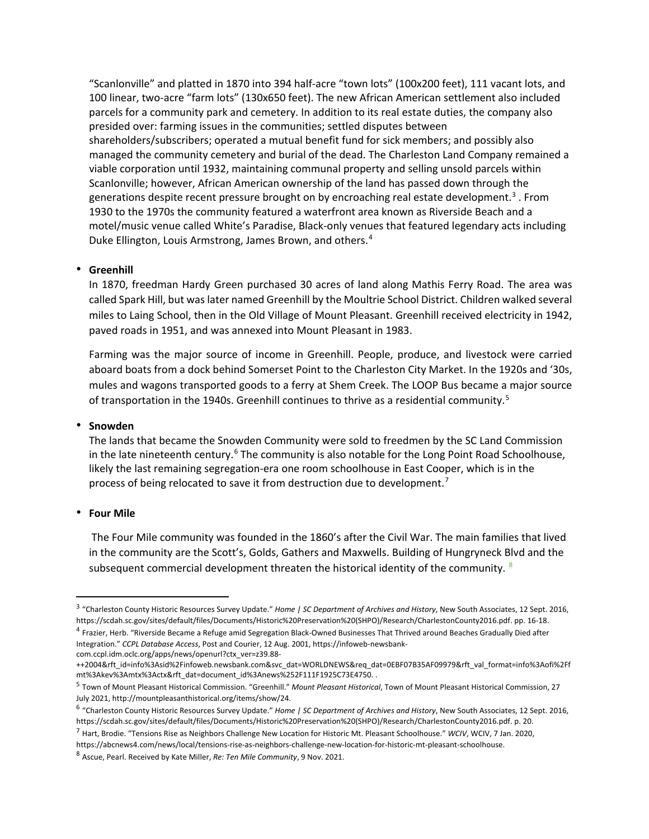"Scanlonville" and platted in 1870 into 394 half-acre "town lots" (100x200 feet), 111 vacant lots, and 100 linear, two-acre "farm lots" (130x650 feet). The new African American settlement also included parcels for a community park and cemetery. In addition to its real estate duties, the company also presided over: farming issues in the communities; settled disputes between shareholders/subscribers; operated a mutual benefit fund for sick members; and possibly also managed the community cemetery and burial of the dead. The Charleston Land Company remained a viable corporation until 1932, maintaining communal property and selling unsold parcels within Scanlonville; however, African American ownership of the land has passed down through the generations despite recent pressure brought on by encroaching real estate development.<sup>[3](#page-2-0)</sup>. From 1930 to the 1970s the community featured a waterfront area known as Riverside Beach and a motel/music venue called White's Paradise, Black-only venues that featured legendary acts including Duke Ellington, Louis Armstrong, James Brown, and others.[4](#page-2-1)

#### • **Greenhill**

In 1870, freedman Hardy Green purchased 30 acres of land along Mathis Ferry Road. The area was called Spark Hill, but was later named Greenhill by the Moultrie School District. Children walked several miles to Laing School, then in the Old Village of Mount Pleasant. Greenhill received electricity in 1942, paved roads in 1951, and was annexed into Mount Pleasant in 1983.

Farming was the major source of income in Greenhill. People, produce, and livestock were carried aboard boats from a dock behind Somerset Point to the Charleston City Market. In the 1920s and '30s, mules and wagons transported goods to a ferry at Shem Creek. The LOOP Bus became a major source of transportation in the 1940s. Greenhill continues to thrive as a residential community.<sup>[5](#page-2-2)</sup>

## • **Snowden**

The lands that became the Snowden Community were sold to freedmen by the SC Land Commission in the late nineteenth century.<sup>[6](#page-2-3)</sup> The community is also notable for the Long Point Road Schoolhouse, likely the last remaining segregation-era one room schoolhouse in East Cooper, which is in the process of being relocated to save it from destruction due to development.<sup>[7](#page-2-4)</sup>

#### • **Four Mile**

The Four Mile community was founded in the 1860's after the Civil War. The main families that lived in the community are the Scott's, Golds, Gathers and Maxwells. Building of Hungryneck Blvd and the subsequent commercial development threaten the historical identity of the community.  $8$ 

<span id="page-2-0"></span><sup>3</sup> "Charleston County Historic Resources Survey Update." *Home | SC Department of Archives and History*, New South Associates, 12 Sept. 2016, https://scdah.sc.gov/sites/default/files/Documents/Historic%20Preservation%20(SHPO)/Research/CharlestonCounty2016.pdf. pp. 16-18.

<span id="page-2-1"></span><sup>4</sup> Frazier, Herb. "Riverside Became a Refuge amid Segregation Black-Owned Businesses That Thrived around Beaches Gradually Died after Integration." *CCPL Database Access*, Post and Courier, 12 Aug. 2001, https://infoweb-newsbankcom.ccpl.idm.oclc.org/apps/news/openurl?ctx\_ver=z39.88-

<sup>++2004&</sup>amp;rft\_id=info%3Asid%2Finfoweb.newsbank.com&svc\_dat=WORLDNEWS&req\_dat=0EBF07B35AF09979&rft\_val\_format=info%3Aofi%2Ff mt%3Akev%3Amtx%3Actx&rft\_dat=document\_id%3Anews%252F111F1925C73E4750. .

<span id="page-2-2"></span><sup>5</sup> Town of Mount Pleasant Historical Commission. "Greenhill." *Mount Pleasant Historical*, Town of Mount Pleasant Historical Commission, 27 July 2021, http://mountpleasanthistorical.org/items/show/24.

<span id="page-2-3"></span><sup>6</sup> "Charleston County Historic Resources Survey Update." *Home | SC Department of Archives and History*, New South Associates, 12 Sept. 2016, https://scdah.sc.gov/sites/default/files/Documents/Historic%20Preservation%20(SHPO)/Research/CharlestonCounty2016.pdf. p. 20.

<span id="page-2-4"></span><sup>7</sup> Hart, Brodie. "Tensions Rise as Neighbors Challenge New Location for Historic Mt. Pleasant Schoolhouse." *WCIV*, WCIV, 7 Jan. 2020, https://abcnews4.com/news/local/tensions-rise-as-neighbors-challenge-new-location-for-historic-mt-pleasant-schoolhouse.

<span id="page-2-5"></span><sup>8</sup> Ascue, Pearl. Received by Kate Miller, *Re: Ten Mile Community*, 9 Nov. 2021.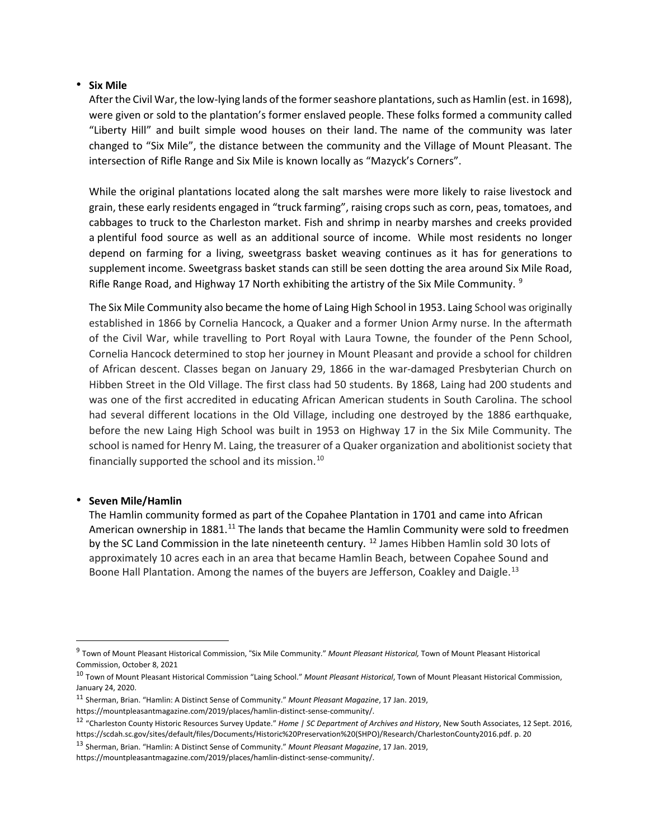## • **Six Mile**

After the Civil War, the low-lying lands of the former seashore plantations, such as Hamlin (est. in 1698), were given or sold to the plantation's former enslaved people. These folks formed a community called "Liberty Hill" and built simple wood houses on their land. The name of the community was later changed to "Six Mile", the distance between the community and the Village of Mount Pleasant. The intersection of Rifle Range and Six Mile is known locally as "Mazyck's Corners".

While the original plantations located along the salt marshes were more likely to raise livestock and grain, these early residents engaged in "truck farming", raising crops such as corn, peas, tomatoes, and cabbages to truck to the Charleston market. Fish and shrimp in nearby marshes and creeks provided a plentiful food source as well as an additional source of income. While most residents no longer depend on farming for a living, sweetgrass basket weaving continues as it has for generations to supplement income. Sweetgrass basket stands can still be seen dotting the area around Six Mile Road, Rifle Range Road, and Highway 17 North exhibiting the artistry of the Six Mile Community.  $9$ 

The Six Mile Community also became the home of Laing High School in 1953. Laing School was originally established in 1866 by Cornelia Hancock, a Quaker and a former Union Army nurse. In the aftermath of the Civil War, while travelling to Port Royal with Laura Towne, the founder of the Penn School, Cornelia Hancock determined to stop her journey in Mount Pleasant and provide a school for children of African descent. Classes began on January 29, 1866 in the war-damaged Presbyterian Church on Hibben Street in the Old Village. The first class had 50 students. By 1868, Laing had 200 students and was one of the first accredited in educating African American students in South Carolina. The school had several different locations in the Old Village, including one destroyed by the 1886 earthquake, before the new Laing High School was built in 1953 on Highway 17 in the Six Mile Community. The school is named for Henry M. Laing, the treasurer of a Quaker organization and abolitionist society that financially supported the school and its mission. $^{10}$  $^{10}$  $^{10}$ 

#### • **Seven Mile/Hamlin**

The Hamlin community formed as part of the Copahee Plantation in 1701 and came into African American ownership in 1881.<sup>[11](#page-3-2)</sup> The lands that became the Hamlin Community were sold to freedmen by the SC Land Commission in the late nineteenth century. <sup>[12](#page-3-3)</sup> James Hibben Hamlin sold 30 lots of approximately 10 acres each in an area that became Hamlin Beach, between Copahee Sound and Boone Hall Plantation. Among the names of the buyers are Jefferson, Coakley and Daigle.<sup>[13](#page-3-4)</sup>

<span id="page-3-0"></span><sup>9</sup> Town of Mount Pleasant Historical Commission, "Six Mile Community." *Mount Pleasant Historical,* Town of Mount Pleasant Historical Commission, October 8, 2021

<span id="page-3-1"></span><sup>10</sup> Town of Mount Pleasant Historical Commission "Laing School." *Mount Pleasant Historical*, Town of Mount Pleasant Historical Commission, January 24, 2020.

<span id="page-3-2"></span><sup>11</sup> Sherman, Brian. "Hamlin: A Distinct Sense of Community." *Mount Pleasant Magazine*, 17 Jan. 2019, https://mountpleasantmagazine.com/2019/places/hamlin-distinct-sense-community/.

<span id="page-3-3"></span><sup>12</sup> "Charleston County Historic Resources Survey Update." *Home | SC Department of Archives and History*, New South Associates, 12 Sept. 2016, https://scdah.sc.gov/sites/default/files/Documents/Historic%20Preservation%20(SHPO)/Research/CharlestonCounty2016.pdf. p. 20

<span id="page-3-4"></span><sup>13</sup> Sherman, Brian. "Hamlin: A Distinct Sense of Community." *Mount Pleasant Magazine*, 17 Jan. 2019,

https://mountpleasantmagazine.com/2019/places/hamlin-distinct-sense-community/.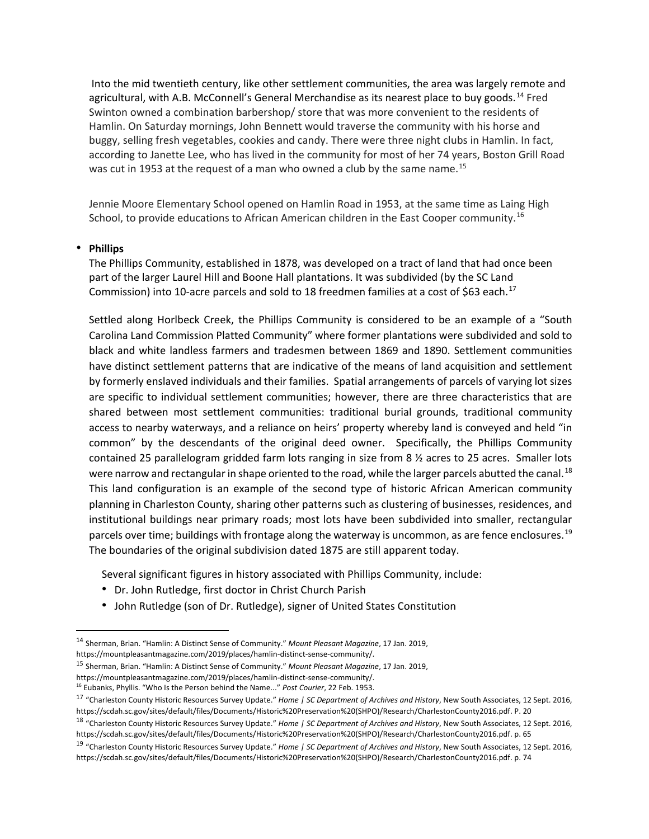Into the mid twentieth century, like other settlement communities, the area was largely remote and agricultural, with A.B. McConnell's General Merchandise as its nearest place to buy goods.[14](#page-4-0) Fred Swinton owned a combination barbershop/ store that was more convenient to the residents of Hamlin. On Saturday mornings, John Bennett would traverse the community with his horse and buggy, selling fresh vegetables, cookies and candy. There were three night clubs in Hamlin. In fact, according to Janette Lee, who has lived in the community for most of her 74 years, Boston Grill Road was cut in 1953 at the request of a man who owned a club by the same name.<sup>[15](#page-4-1)</sup>

Jennie Moore Elementary School opened on Hamlin Road in 1953, at the same time as Laing High School, to provide educations to African American children in the East Cooper community.<sup>[16](#page-4-2)</sup>

## • **Phillips**

The Phillips Community, established in 1878, was developed on a tract of land that had once been part of the larger Laurel Hill and Boone Hall plantations. It was subdivided (by the SC Land Commission) into 10-acre parcels and sold to 18 freedmen families at a cost of \$63 each.<sup>[17](#page-4-3)</sup>

Settled along Horlbeck Creek, the Phillips Community is considered to be an example of a "South Carolina Land Commission Platted Community" where former plantations were subdivided and sold to black and white landless farmers and tradesmen between 1869 and 1890. Settlement communities have distinct settlement patterns that are indicative of the means of land acquisition and settlement by formerly enslaved individuals and their families. Spatial arrangements of parcels of varying lot sizes are specific to individual settlement communities; however, there are three characteristics that are shared between most settlement communities: traditional burial grounds, traditional community access to nearby waterways, and a reliance on heirs' property whereby land is conveyed and held "in common" by the descendants of the original deed owner. Specifically, the Phillips Community contained 25 parallelogram gridded farm lots ranging in size from 8 ½ acres to 25 acres. Smaller lots were narrow and rectangular in shape oriented to the road, while the larger parcels abutted the canal.<sup>[18](#page-4-4)</sup> This land configuration is an example of the second type of historic African American community planning in Charleston County, sharing other patterns such as clustering of businesses, residences, and institutional buildings near primary roads; most lots have been subdivided into smaller, rectangular parcels over time; buildings with frontage along the waterway is uncommon, as are fence enclosures.<sup>[19](#page-4-5)</sup> The boundaries of the original subdivision dated 1875 are still apparent today.

Several significant figures in history associated with Phillips Community, include:

- Dr. John Rutledge, first doctor in Christ Church Parish
- John Rutledge (son of Dr. Rutledge), signer of United States Constitution

https://mountpleasantmagazine.com/2019/places/hamlin-distinct-sense-community/.

<span id="page-4-1"></span><sup>15</sup> Sherman, Brian. "Hamlin: A Distinct Sense of Community." *Mount Pleasant Magazine*, 17 Jan. 2019,

<span id="page-4-0"></span><sup>14</sup> Sherman, Brian. "Hamlin: A Distinct Sense of Community." *Mount Pleasant Magazine*, 17 Jan. 2019,

https://mountpleasantmagazine.com/2019/places/hamlin-distinct-sense-community/. <sup>16</sup> Eubanks, Phyllis. "Who Is the Person behind the Name..." *Post Courier*, 22 Feb. 1953.

<span id="page-4-3"></span><span id="page-4-2"></span><sup>17</sup> "Charleston County Historic Resources Survey Update." *Home | SC Department of Archives and History*, New South Associates, 12 Sept. 2016, https://scdah.sc.gov/sites/default/files/Documents/Historic%20Preservation%20(SHPO)/Research/CharlestonCounty2016.pdf. P. 20

<span id="page-4-4"></span><sup>18</sup> "Charleston County Historic Resources Survey Update." *Home | SC Department of Archives and History*, New South Associates, 12 Sept. 2016, https://scdah.sc.gov/sites/default/files/Documents/Historic%20Preservation%20(SHPO)/Research/CharlestonCounty2016.pdf. p. 65

<span id="page-4-5"></span><sup>19</sup> "Charleston County Historic Resources Survey Update." *Home | SC Department of Archives and History*, New South Associates, 12 Sept. 2016, https://scdah.sc.gov/sites/default/files/Documents/Historic%20Preservation%20(SHPO)/Research/CharlestonCounty2016.pdf. p. 74